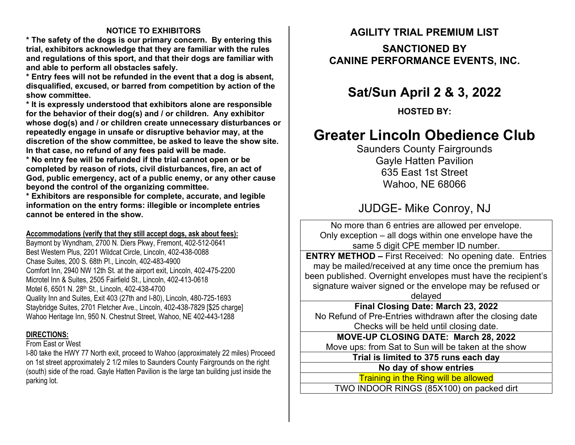### **NOTICE TO EXHIBITORS**

**\* The safety of the dogs is our primary concern. By entering this trial, exhibitors acknowledge that they are familiar with the rules and regulations of this sport, and that their dogs are familiar with and able to perform all obstacles safely.** 

**\* Entry fees will not be refunded in the event that a dog is absent, disqualified, excused, or barred from competition by action of the show committee.** 

**\* It is expressly understood that exhibitors alone are responsible for the behavior of their dog(s) and / or children. Any exhibitor whose dog(s) and / or children create unnecessary disturbances or repeatedly engage in unsafe or disruptive behavior may, at the discretion of the show committee, be asked to leave the show site. In that case, no refund of any fees paid will be made.** 

**\* No entry fee will be refunded if the trial cannot open or be completed by reason of riots, civil disturbances, fire, an act of God, public emergency, act of a public enemy, or any other cause beyond the control of the organizing committee.** 

**\* Exhibitors are responsible for complete, accurate, and legible information on the entry forms: illegible or incomplete entries cannot be entered in the show.** 

### **Accommodations (verify that they still accept dogs, ask about fees):**

Baymont by Wyndham, 2700 N. Diers Pkwy, Fremont, 402-512-0641 Best Western Plus, 2201 Wildcat Circle, Lincoln, 402-438-0088 Chase Suites, 200 S. 68th Pl., Lincoln, 402-483-4900 Comfort Inn, 2940 NW 12th St. at the airport exit, Lincoln, 402-475-2200 Microtel Inn & Suites, 2505 Fairfield St., Lincoln, 402-413-0618 Motel 6, 6501 N. 28th St., Lincoln, 402-438-4700 Quality Inn and Suites, Exit 403 (27th and I-80), Lincoln, 480-725-1693 Staybridge Suites, 2701 Fletcher Ave., Lincoln, 402-438-7829 [\$25 charge] Wahoo Heritage Inn, 950 N. Chestnut Street, Wahoo, NE 402-443-1288

### **DIRECTIONS:**

#### From East or West

I-80 take the HWY 77 North exit, proceed to Wahoo (approximately 22 miles) Proceed on 1st street approximately 2 1/2 miles to Saunders County Fairgrounds on the right (south) side of the road. Gayle Hatten Pavilion is the large tan building just inside the parking lot.

### **AGILITY TRIAL PREMIUM LIST**

### **SANCTIONED BY CANINE PERFORMANCE EVENTS, INC.**

## **Sat/Sun April 2 & 3, 2022**

**HOSTED BY:** 

# **Greater Lincoln Obedience Club**

Saunders County Fairgrounds Gayle Hatten Pavilion 635 East 1st Street Wahoo, NE 68066

## JUDGE- Mike Conroy, NJ

No more than 6 entries are allowed per envelope. Only exception – all dogs within one envelope have the same 5 di git CPE member ID number.

**ENTRY METHOD –** First Received: No opening date. Entries may be mailed/received at any time once the premium has been published. Overnight envelopes must have the recipient's signature waiver signed or the envelope may be refused or dela yed

**Final Closing Date: March 23, 2022**  No Refund of Pre-Entries withdrawn after the closing date Checks will be held until closin g date.

**MOVE-UP CLOSING DATE: March 28, 2022**  Move ups: from Sat to Sun will be taken at the show

**Trial is limited to 375 runs each day**

**No day of show entries** 

Training in the Ring will be allowed

TWO INDOOR RINGS (85X100) on packed dirt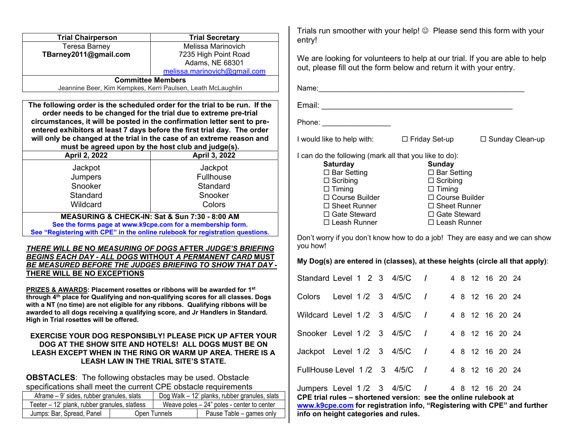| <b>Trial Chairperson</b>                                                                                                                                                                                                                                                                                                                                                                                                                                                                                                                                      | <b>Trial Secretary</b>                                                                                                                                                                                                |
|---------------------------------------------------------------------------------------------------------------------------------------------------------------------------------------------------------------------------------------------------------------------------------------------------------------------------------------------------------------------------------------------------------------------------------------------------------------------------------------------------------------------------------------------------------------|-----------------------------------------------------------------------------------------------------------------------------------------------------------------------------------------------------------------------|
| <b>Teresa Barney</b>                                                                                                                                                                                                                                                                                                                                                                                                                                                                                                                                          | Melissa Marinovich                                                                                                                                                                                                    |
| TBarney2011@gmail.com                                                                                                                                                                                                                                                                                                                                                                                                                                                                                                                                         | 7235 High Point Road                                                                                                                                                                                                  |
|                                                                                                                                                                                                                                                                                                                                                                                                                                                                                                                                                               | Adams, NE 68301                                                                                                                                                                                                       |
|                                                                                                                                                                                                                                                                                                                                                                                                                                                                                                                                                               | melissa.marinovich@gmail.com                                                                                                                                                                                          |
| <b>Committee Members</b>                                                                                                                                                                                                                                                                                                                                                                                                                                                                                                                                      |                                                                                                                                                                                                                       |
| Jeannine Beer, Kim Kempkes, Kerri Paulsen, Leath McLaughlin                                                                                                                                                                                                                                                                                                                                                                                                                                                                                                   |                                                                                                                                                                                                                       |
| The following order is the scheduled order for the trial to be run. If the                                                                                                                                                                                                                                                                                                                                                                                                                                                                                    |                                                                                                                                                                                                                       |
| order needs to be changed for the trial due to extreme pre-trial                                                                                                                                                                                                                                                                                                                                                                                                                                                                                              |                                                                                                                                                                                                                       |
| circumstances, it will be posted in the confirmation letter sent to pre-                                                                                                                                                                                                                                                                                                                                                                                                                                                                                      |                                                                                                                                                                                                                       |
| entered exhibitors at least 7 days before the first trial day. The order                                                                                                                                                                                                                                                                                                                                                                                                                                                                                      |                                                                                                                                                                                                                       |
| will only be changed at the trial in the case of an extreme reason and                                                                                                                                                                                                                                                                                                                                                                                                                                                                                        |                                                                                                                                                                                                                       |
| must be agreed upon by the host club and judge(s).                                                                                                                                                                                                                                                                                                                                                                                                                                                                                                            |                                                                                                                                                                                                                       |
| April 2, 2022                                                                                                                                                                                                                                                                                                                                                                                                                                                                                                                                                 | April 3, 2022                                                                                                                                                                                                         |
| Jackpot                                                                                                                                                                                                                                                                                                                                                                                                                                                                                                                                                       | Jackpot                                                                                                                                                                                                               |
| Jumpers                                                                                                                                                                                                                                                                                                                                                                                                                                                                                                                                                       | Fullhouse                                                                                                                                                                                                             |
| Snooker                                                                                                                                                                                                                                                                                                                                                                                                                                                                                                                                                       | Standard                                                                                                                                                                                                              |
| Standard                                                                                                                                                                                                                                                                                                                                                                                                                                                                                                                                                      | Snooker                                                                                                                                                                                                               |
| Wildcard                                                                                                                                                                                                                                                                                                                                                                                                                                                                                                                                                      | Colors                                                                                                                                                                                                                |
|                                                                                                                                                                                                                                                                                                                                                                                                                                                                                                                                                               |                                                                                                                                                                                                                       |
| MEASURING & CHECK-IN: Sat & Sun 7:30 - 8:00 AM<br>See the forms page at www.k9cpe.com for a membership form.                                                                                                                                                                                                                                                                                                                                                                                                                                                  |                                                                                                                                                                                                                       |
| See "Registering with CPE" in the online rulebook for registration questions.                                                                                                                                                                                                                                                                                                                                                                                                                                                                                 |                                                                                                                                                                                                                       |
|                                                                                                                                                                                                                                                                                                                                                                                                                                                                                                                                                               |                                                                                                                                                                                                                       |
|                                                                                                                                                                                                                                                                                                                                                                                                                                                                                                                                                               | <u>BE MEASURED BEFORE THE JUDGES BRIEFING TO SHOW THAT DAY -</u>                                                                                                                                                      |
| <u>THERE WILL BE NO MEASURING OF DOGS AFTER JUDGE'S BRIEFING</u><br><b>BEGINS EACH DAY - ALL DOGS WITHOUT A PERMANENT CARD MUST</b><br>THERE WILL BE NO EXCEPTIONS<br>PRIZES & AWARDS: Placement rosettes or ribbons will be awarded for 1st<br>through 4 <sup>th</sup> place for Qualifying and non-qualifying scores for all classes. Dogs<br>with a NT (no time) are not eligible for any ribbons. Qualifying ribbons will be<br>awarded to all dogs receiving a qualifying score, and Jr Handlers in Standard.<br>High in Trial rosettes will be offered. |                                                                                                                                                                                                                       |
|                                                                                                                                                                                                                                                                                                                                                                                                                                                                                                                                                               | EXERCISE YOUR DOG RESPONSIBLY! PLEASE PICK UP AFTER YOUR<br>DOG AT THE SHOW SITE AND HOTELS! ALL DOGS MUST BE ON<br>LEASH EXCEPT WHEN IN THE RING OR WARM UP AREA. THERE IS A<br>LEASH LAW IN THE TRIAL SITE'S STATE. |
|                                                                                                                                                                                                                                                                                                                                                                                                                                                                                                                                                               |                                                                                                                                                                                                                       |
| <b>OBSTACLES:</b> The following obstacles may be used. Obstacle                                                                                                                                                                                                                                                                                                                                                                                                                                                                                               |                                                                                                                                                                                                                       |
| specifications shall meet the current CPE obstacle requirements                                                                                                                                                                                                                                                                                                                                                                                                                                                                                               |                                                                                                                                                                                                                       |
| Aframe - 9' sides, rubber granules, slats<br>Teeter - 12' plank, rubber granules, slatless                                                                                                                                                                                                                                                                                                                                                                                                                                                                    | Dog Walk - 12' planks, rubber granules, slats<br>Weave poles $-24$ " poles - center to center                                                                                                                         |

Trials run smoother with your help!  $\copyright$  Please send this form with your entry!

We are looking for volunteers to help at our trial. If you are able to help out, please fill out the form below and return it with your entry.

| Name:                                                  |                       |                        |
|--------------------------------------------------------|-----------------------|------------------------|
| Email:                                                 |                       |                        |
| Phone:                                                 |                       |                        |
| I would like to help with:                             | $\Box$ Friday Set-up  | $\Box$ Sunday Clean-up |
| I can do the following (mark all that you like to do): |                       |                        |
| <b>Saturday</b>                                        | Sundav                |                        |
| $\Box$ Bar Setting                                     | $\Box$ Bar Setting    |                        |
| $\Box$ Scribing                                        | $\Box$ Scribing       |                        |
| $\Box$ Timing                                          | $\Box$ Timing         |                        |
| $\Box$ Course Builder                                  | $\Box$ Course Builder |                        |
| $\Box$ Sheet Runner                                    | $\Box$ Sheet Runner   |                        |
| $\Box$ Gate Steward                                    | $\Box$ Gate Steward   |                        |
| □ Leash Runner                                         | □ Leash Runner        |                        |

Don't worry if you don't know how to do a job! They are easy and we can show you how!

#### **My Dog(s) are entered in (classes), at these heights (circle all that apply)**:

|                                                                                                                |  |  |                      |  |  |                 | www.k9cpe.com for registration info, "Registering with CPE" and further |
|----------------------------------------------------------------------------------------------------------------|--|--|----------------------|--|--|-----------------|-------------------------------------------------------------------------|
| Jumpers Level 1/2 3 4/5/C / 4 8 12 16 20 24<br>CPE trial rules – shortened version: see the online rulebook at |  |  |                      |  |  |                 |                                                                         |
| FullHouse Level $1/2$ 3 $4/5/C$ /                                                                              |  |  |                      |  |  | 4 8 12 16 20 24 |                                                                         |
| Jackpot Level $1/2$ 3 $4/5/C$ /                                                                                |  |  |                      |  |  | 4 8 12 16 20 24 |                                                                         |
| Snooker Level 1/2 3 4/5/C /                                                                                    |  |  |                      |  |  | 4 8 12 16 20 24 |                                                                         |
| Wildcard Level 1/2 3 4/5/C /                                                                                   |  |  |                      |  |  | 4 8 12 16 20 24 |                                                                         |
| Colors                                                                                                         |  |  | Level 1 /2 3 4/5/C / |  |  | 4 8 12 16 20 24 |                                                                         |
| Standard Level 1 2 3 4/5/C /                                                                                   |  |  |                      |  |  | 4 8 12 16 20 24 |                                                                         |

**info on height categories and rules.**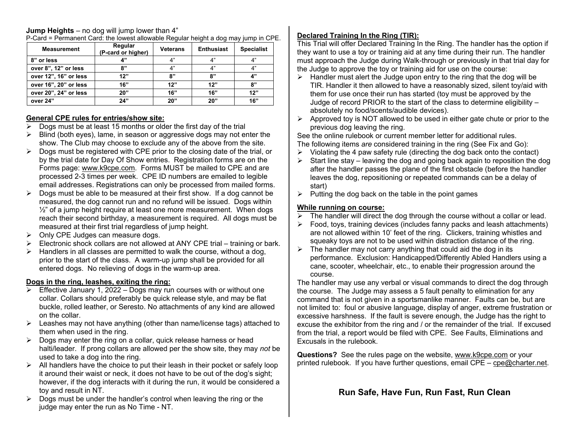# **Jump Heights** – no dog will jump lower than 4"

| <b>Measurement</b>    | Regular<br>(P-card or higher) | <b>Veterans</b> | <b>Enthusiast</b> | <b>Specialist</b> |
|-----------------------|-------------------------------|-----------------|-------------------|-------------------|
| 8" or less            | 4"                            | Δ"              | 4"                | 4"                |
| over 8", 12" or less  | 8"                            | 4"              | 4"                | 4"                |
| over 12", 16" or less | 12"                           | 8"              | 8"                | 4"                |
| over 16", 20" or less | 16"                           | 12"             | 12"               | 8"                |
| over 20", 24" or less | <b>20"</b>                    | 16"             | 16"               | 12"               |
| over 24"              | 24"                           | 20"             | 20"               | 16"               |

P-Card = Permanent Card: the lowest allowable Regular height a dog may jump in CPE.

### **General CPE rules for entries/show site:**

- $\triangleright$  Dogs must be at least 15 months or older the first day of the trial
- $\triangleright$  Blind (both eyes), lame, in season or aggressive dogs may not enter the show. The Club may choose to exclude any of the above from the site.
- $\triangleright$  Dogs must be registered with CPE prior to the closing date of the trial, or by the trial date for Day Of Show entries. Registration forms are on the Forms page: www.k9cpe.com. Forms MUST be mailed to CPE and are processed 2-3 times per week. CPE ID numbers are emailed to legible email addresses. Registrations can only be processed from mailed forms.
- $\triangleright$  Dogs must be able to be measured at their first show. If a dog cannot be measured, the dog cannot run and no refund will be issued. Dogs within  $\frac{1}{2}$ " of a jump height require at least one more measurement. When dogs reach their second birthday, a measurement is required. All dogs must be measured at their first trial regardless of jump height.
- $\triangleright$  Only CPE Judges can measure dogs.
- $\triangleright$  Electronic shock collars are not allowed at ANY CPE trial training or bark.
- $\triangleright$  Handlers in all classes are permitted to walk the course, without a dog, prior to the start of the class. A warm-up jump shall be provided for all entered dogs. No relieving of dogs in the warm-up area.

### **Dogs in the ring, leashes, exiting the ring:**

- Effective January 1, 2022 Dogs may run courses with or without one collar. Collars should preferably be quick release style, and may be flat buckle, rolled leather, or Seresto. No attachments of any kind are allowed on the collar.
- $\triangleright$  Leashes may not have anything (other than name/license tags) attached to them when used in the ring.
- $\triangleright$  Dogs may enter the ring on a collar, quick release harness or head halti/leader. If prong collars are allowed per the show site, they may *not* be used to take a dog into the ring.
- $\triangleright$  All handlers have the choice to put their leash in their pocket or safely loop it around their waist or neck, it does not have to be out of the dog's sight; however, if the dog interacts with it during the run, it would be considered a toy and result in NT.
- $\triangleright$  Dogs must be under the handler's control when leaving the ring or the judge may enter the run as No Time - NT.

### **Declared Training In the Ring (TIR):**

This Trial will offer Declared Training In the Ring. The handler has the option if they want to use a toy or training aid at any time during their run. The handler must approach the Judge during Walk-through or previously in that trial day for the Judge to approve the toy or training aid for use on the course:

- $\triangleright$  Handler must alert the Judge upon entry to the ring that the dog will be TIR. Handler it then allowed to have a reasonably sized, silent toy/aid with them for use once their run has started (toy must be approved by the Judge of record PRIOR to the start of the class to determine eligibility – absolutely no food/scents/audible devices).
- $\triangleright$  Approved toy is NOT allowed to be used in either gate chute or prior to the previous dog leaving the ring.

See the online rulebook or current member letter for additional rules. The following items *are* considered training in the ring (See Fix and Go):

- $\triangleright$  Violating the 4 paw safety rule (directing the dog back onto the contact)
- $\triangleright$  Start line stay leaving the dog and going back again to reposition the dog after the handler passes the plane of the first obstacle (before the handler leaves the dog, repositioning or repeated commands can be a delay of start)
- $\triangleright$  Putting the dog back on the table in the point games

### **While running on course:**

- $\overline{\triangleright}$  The handler will direct the dog through the course without a collar or lead.
- $\triangleright$  Food, toys, training devices (includes fanny packs and leash attachments) are not allowed within 10' feet of the ring. Clickers, training whistles and squeaky toys are not to be used within distraction distance of the ring.
- $\triangleright$  The handler may not carry anything that could aid the dog in its performance. Exclusion: Handicapped/Differently Abled Handlers using a cane, scooter, wheelchair, etc., to enable their progression around the course.

The handler may use any verbal or visual commands to direct the dog through the course. The Judge may assess a 5 fault penalty to elimination for any command that is not given in a sportsmanlike manner. Faults can be, but are not limited to: foul or abusive language, display of anger, extreme frustration or excessive harshness. If the fault is severe enough, the Judge has the right to excuse the exhibitor from the ring and / or the remainder of the trial. If excused from the trial, a report would be filed with CPE. See Faults, Eliminations and Excusals in the rulebook.

**Questions?** See the rules page on the website, www.k9cpe.com or your printed rulebook. If you have further questions, email CPE – cpe@charter.net.

## **Run Safe, Have Fun, Run Fast, Run Clean**